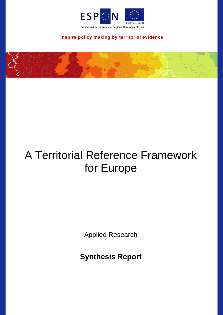

Inspire policy making by territorial evidence

# A Territorial Reference Framework for Europe

Applied Research

**Synthesis Report**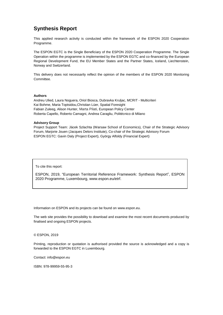## **Synthesis Report**

This applied research activity is conducted within the framework of the ESPON 2020 Cooperation Programme.

The ESPON EGTC is the Single Beneficiary of the ESPON 2020 Cooperation Programme. The Single Operation within the programme is implemented by the ESPON EGTC and co-financed by the European Regional Development Fund, the EU Member States and the Partner States, Iceland, Liechtenstein, Norway and Switzerland.

This delivery does not necessarily reflect the opinion of the members of the ESPON 2020 Monitoring Committee.

### **Authors**

Andreu Ulied, Laura Noguera, Oriol Biosca, Dubravka Kruljac, MCRIT - Multicriteri Kai Bohme, Maria Toptsidou,Christian Lüer, Spatial Foresight Fabian Zuleeg, Alison Hunter, Marta Pilati, European Policy Center Roberta Capello, Roberto Camagni, Andrea Caragliu, Politécnico di Milano

### **Advisory Group**

Project Support Team: Jácek Szlachta (Warsaw School of Economics), Chair of the Strategic Advisory Forum, Marjorie Jouen (Jacques Delors Institute), Co-chair of the Strategic Advisory Forum ESPON EGTC: Gavin Daly (Project Expert), György Alfoldy (Financial Expert)

To cite this report:

ESPON, 2019, "European Territorial Reference Framework: Synthesis Report", ESPON 2020 Programme, Luxembourg, www.espon.eu/etrf.

Information on ESPON and its projects can be found on [www.espon.eu.](https://www.espon.eu/)

The web site provides the possibility to download and examine the most recent documents produced by finalised and ongoing ESPON projects.

### © ESPON, 2019

Printing, reproduction or quotation is authorised provided the source is acknowledged and a copy is forwarded to the ESPON EGTC in Luxembourg.

Contact: [info@espon.eu](mailto:info@espon.eu)

ISBN: 978-99959-55-95-3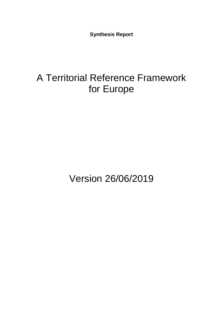**Synthesis Report**

## A Territorial Reference Framework for Europe

Version 26/06/2019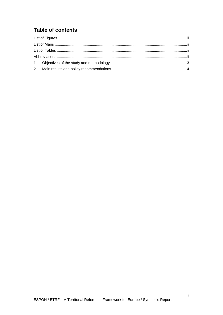## **Table of contents**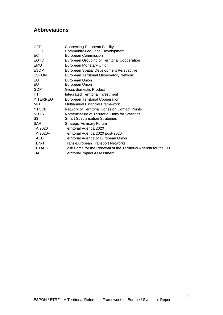## **Abbreviations**

| CEF             | <b>Connecting European Facility</b>                             |
|-----------------|-----------------------------------------------------------------|
| CLLD            | <b>Community-Led Local Development</b>                          |
| EС              | <b>European Commission</b>                                      |
| <b>EGTC</b>     | European Grouping of Territorial Cooperation                    |
| EMU             | European Monetary Union                                         |
| ESDP            | European Spatial Development Perspective                        |
| <b>ESPON</b>    | <b>European Territorial Observatory Network</b>                 |
| EU              | European Union                                                  |
| EU              | European Union                                                  |
| <b>GDP</b>      | <b>Gross domestic Product</b>                                   |
| ITI             | <b>Integrated Territorial Investment</b>                        |
| <b>INTERREG</b> | <b>European Territorial Cooperation</b>                         |
| MFF             | <b>Multiannual Financial Framework</b>                          |
| NTCCP           | Network of Territorial Cohesion Contact Points                  |
| NUTS            | Nomenclature of Territorial Units for Statistics                |
| S3              | <b>Smart Specialisation Strategies</b>                          |
| SAF             | <b>Strategic Advisory Forum</b>                                 |
| TA 2020         | Territorial Agenda 2020                                         |
| TA 2020+        | Territorial Agenda 2020 post-2020                               |
| TAEU            | Territorial Agenda of European Union                            |
| TEN-T           | <b>Trans-European Transport Networks</b>                        |
| <b>TFTAEU</b>   | Task Force for the Renewal of the Territorial Agenda for the EU |
| TIA             | <b>Territorial Impact Assessment</b>                            |
|                 |                                                                 |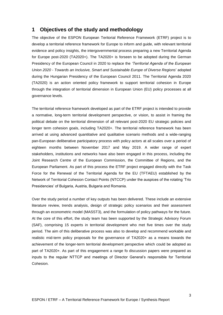### <span id="page-5-0"></span>**1 Objectives of the study and methodology**

The objective of the ESPON European Teritorial Reference Framework (ETRF) project is to develop a territorial reference framework for Europe to inform and guide, with relevant territorial evidence and policy insights, the intergovernmental process preparing a new Territorial Agenda for Europe post-2020 (TA2020+). The TA2020+ is forseen to be adopted during the German Presidency of the European Council in 2020 to replace the *'Territorial Agenda of the European Union 2020 - Towards an Inclusive, Smart and Sustainable Europe of Diverse Regions*' adopted during the Hungarian Presidency of the European Council 2011. The Territorial Agenda 2020 (TA2020) is an action oriented policy framework to support territorial cohesion in Europe through the integration of territorial dimension in European Union (EU) policy processes at all governance levels.

The territorial reference framework developed as part of the ETRF project is intended to provide a normative, long-term territorial development perspective, or vision, to assist in framing the political debate on the territorial dimension of all relevant post-2020 EU strategic policies and longer term cohesion goals, including TA2020+. The territorial reference framework has been arrived at using advanced quantitative and qualitative scenario methods and a wide-ranging pan-European deliberative participatory process with policy actors at all scales over a period of eighteen months between November 2017 and May 2019. A wider range of expert stakeholders, institutions and networks have also been engaged in this process, including the Joint Research Centre of the European Commission, the Committee of Regions, and the European Parliament. As part of this process the ETRF project engaged directly with the Task Force for the Renewal of the Territorial Agenda for the EU (TFTAEU) established by the Network of Territorial Cohesion Contact Points (NTCCP) under the auspices of the rotating 'Trio Presidencies' of Bulgaria, Austria, Bulgaria and Romania.

Over the study period a number of key outputs has been delivered. These include an extensive literature review, trends analysis, design of strategic policy scenarios and their assessment through an econometric model (MASST3), and the formulation of policy pathways for the future. At the core of this effort, the study team has been supported by the Strategic Advisory Forum (SAF), comprising 15 experts in territorial development who met five times over the study period. The aim of this deliberative process was also to develop and recommend workable and realistic mid-term policy proposals for the governance of TA2020+ as a means towards the achievement of the longer-term territorial development perspective which could be adopted as part of TA2020+. As part of this engagement a range fo discussion papers were prepared as inputs to the regular NTTCP and meetings of Director General's responsible for Territorial Cohesion.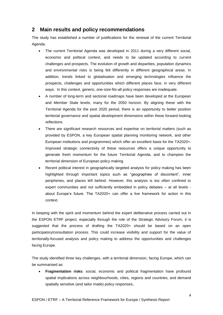## <span id="page-6-0"></span>**2 Main results and policy recommendations**

The study has established a number of justifications for the renewal of the current Territorial Agenda.

- The current Territorial Agenda was developed in 2011 during a very different social, economic and political context, and needs to be updated according to current challenges and prospects. The evolution of growth and disparities, population dynamics and environmental risks is being felt differently in different geographical areas. In addition, trends linked to globalisation and emerging technologies influence the prospects, challenges and opportunities which different places face, in very different ways. In this context, generic, one-size-fits-all policy responses are inadequate.
- A number of long-term and sectorial roadmaps have been developed at the European and Member State levels, many for the 2050 horizon. By aligning these with the Territorial Agenda for the post 2020 period, there is an opportunity to better position territorial governance and spatial development dimensions within these forward-looking reflections.
- There are significant research resources and expertise on territorial matters (such as provided by ESPON, a key European spatial planning monitoring network, and other European institutions and programmes) which offer an excellent basis for the TA2020+. Improved strategic connectivity of these resources offers a unique opportunity to generate fresh momentum for the future Territorial Agenda, and to champion the territorial dimension of European policy making
- Recent political interest in geographically targeted analysis for policy making has been highlighted through important topics such as "geographies of discontent", inner peripheries, and places left behind. However, this analysis is too often confined to expert communities and not sufficiently embedded in policy debates – at all levels about Europe's future. The TA2020+ can offer a live framework for action in this context.

In keeping with the spirit and momentum behind the expert deliberative process carried out in the ESPON ETRF project, especially through the role of the Strategic Advisory Forum, it is suggested that the process of drafting the TA2020+ should be based on an open participatory/consultation process. This could increase visibility and support for the value of territorially-focused analysis and policy making to address the opportunities and challenges facing Europe.

The study identified three key challenges, with a territorial dimension, facing Europe, which can be summarised as:

• **Fragmentation risks**: social, economic and political fragmentation have profound spatial implications across neighbourhoods, cities, regions and countries, and demand spatially sensitive (and tailor made) policy responses**.**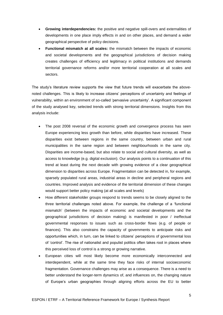- **Growing interdependencies:** the positive and negative spill-overs and externalities of developments in one place imply effects in and on other places, and demand a wider geographical perspective of policy decisions.
- **Functional mismatch at all scales:** the mismatch between the impacts of economic and societal developments and the geographical jurisdictions of decision making creates challenges of efficiency and legitimacy in political institutions and demands territorial governance reforms and/or more territorial cooperation at all scales and sectors.

The study's literature review supports the view that future trends will exacerbate the abovenoted challenges. This is likely to increase citizens' perceptions of uncertainty and feelings of vulnerability, within an environment of so-called 'pervasive uncertainty'. A significant component of the study analysed key, selected trends with strong territorial dimensions. Insights from this analysis include:

- The post 2008 reversal of the economic growth and convergence process has seen Europe experiencing less growth than before, while disparities have increased. These disparities exist between regions in the same country, between urban and rural municipalities in the same region and between neighbourhoods in the same city. Disparities are income-based, but also relate to social and cultural diversity, as well as access to knowledge (e.g. digital exclusion). Our analysis points to a continuation of this trend at least during the next decade with growing evidence of a clear geographical dimension to disparities across Europe. Fragmentation can be detected in, for example, sparsely populated rural areas, industrial areas in decline and peripheral regions and countries. Improved analysis and evidence of the territorial dimension of these changes would support better policy making (at all scales and levels)
- How different stakeholder groups respond to trends seems to be closely aligned to the three territorial challenges noted above. For example, the challenge of a 'functional mismatch' (between the impacts of economic and societal developments and the geographical jurisdictions of decision making) is manifested in poor / ineffectual governmental responses to issues such as cross-border flows (e.g. of people or finances). This also constrains the capacity of governments to anticipate risks and opportunities which, in turn, can be linked to citizens' perceptions of governmental loss of 'control'. The rise of nationalist and populist politics often takes root in places where this perceived loss of control is a strong or growing narrative.
- European cities will most likely become more economically interconnected and interdependent, while at the same time they face risks of internal socioeconomic fragmentation. Governance challenges may arise as a consequence. There is a need to better understand the longer-term dynamics of, and influences on, the changing nature of Europe's urban geographies through aligning efforts across the EU to better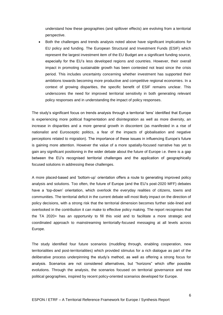understand how these geographies (and spillover effects) are evolving from a territorial perspective.

• Both the challenges and trends analysis noted above have significant implications for EU policy and funding. The European Structural and Investment Funds (ESIF) which represent the largest investment item of the EU Budget are a significant funding source, especially for the EU's less developed regions and countries. However, their overall impact in promoting sustainable growth has been contested not least since the crisis period. This includes uncertainty concerning whether investment has supported their ambitions towards becoming more productive and competitive regional economies. In a context of growing disparities, the specific benefit of ESIF remains unclear. This underscores the need for improved territorial sensitivity in both generating relevant policy responses and in understanding the impact of policy responses.

The study's significant focus on trends analysis through a territorial 'lens' identified that Europe is experiencing more political fragmentation and disintegration as well as more diversity, an increase in disparities and a more general growth in discontent (as manifested in a rise of nationalist and Eurosceptic politics, a fear of the impacts of globalisation and negative perceptions related to migration). The importance of these issues in influencing Europe's future is gaining more attention. However the value of a more spatially-focused narrative has yet to gain any significant positioning in the wider debate about the future of Europe i.e. there is a gap between the EU's recognised territorial challenges and the application of geographically focused solutions in addressing these challenges.

A more placed-based and 'bottom-up' orientation offers a route to generating improved policy analysis and solutions. Too often, the future of Europe (and the EU's post-2020 MFF) debates have a 'top-down' orientation, which overlook the everyday realities of citizens, towns and communities. The territorial deficit in the current debate will most likely impact on the direction of policy decisions, with a strong risk that the territorial dimension becomes further side-lined and overlooked in the contribution it can make to effective policy making. The report recognises that the TA 2020+ has an opportunity to fill this void and to facilitate a more strategic and coordinated approach to mainstreaming territorially-focused messaging at all levels across Europe.

The study identified four future scenarios (muddling through, enabling cooperation, new territorialities and post-territorialities) which provided stimulus for a rich dialogue as part of the deliberative process underpinning the study's method, as well as offering a strong focus for analysis. Scenarios are not considered alternatives, but "horizons" which offer possible evolutions. Through the analysis, the scenarios focused on territorial governance and new political geographies, inspired by recent policy-oriented scenarios developed for Europe.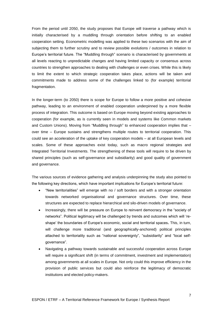From the period until 2050, the study proposes that Europe will traverse a pathway which is initially characterised by a muddling through orientation before shifting to an enabled cooperation setting. Econometric modelling was applied to these two scenarios with the aim of subjecting them to further scrutiny and to review possible evolutions / outcomes in relation to Europe's territorial future. The "Muddling through" scenario is characterised by governments at all levels reacting to unpredictable changes and having limited capacity or consensus across countries to strengthen approaches to dealing with challenges or even crises. While this is likely to limit the extent to which strategic cooperation takes place, actions will be taken and commitments made to address some of the challenges linked to (for example) territorial fragmentation.

In the longer-term (to 2050) there is scope for Europe to follow a more positive and cohesive pathway, leading to an environment of enabled cooperation underpinned by a more flexible process of integration. This outcome is based on Europe moving beyond existing approaches to cooperation (for example, as is currently seen in models and systems like Common markets and Custom Unions). Moving from "Muddling through" to enhanced cooperation implies that – over time – Europe sustains and strengthens multiple routes to territorial cooperation. This could see an acceleration of the uptake of key cooperation models – at all European levels and scales. Some of these approaches exist today, such as macro regional strategies and Integrated Territorial Investments. The strengthening of these tools will require to be driven by shared principles (such as self-governance and subsidiarity) and good quality of government and governance.

The various sources of evidence gathering and analysis underpinning the study also pointed to the following key directions, which have important implications for Europe's territorial future:

- "New territorialities" will emerge with no / soft borders and with a stronger orientation towards networked organisational and governance structures. Over time, these structures are expected to replace hierarchical and silo-driven models of governance.
- Increasingly, there will be pressure on Europe to reinvent democracy in the "society of networks". Political legitimacy will be challenged by trends and outcomes which will 'reshape' the boundaries of Europe's economic, social and territorial spaces**.** This, in turn, will challenge more traditional (and geographically-anchored) political principles attached to territoriality such as "national sovereignty", "subsidiarity" and "local selfgovernance".
- Navigating a pathway towards sustainable and successful cooperation across Europe will require a significant shift (in terms of commitment, investment and implementation) among governments at all scales in Europe. Not only could this improve efficiency in the provision of public services but could also reinforce the legitimacy of democratic institutions and elected policy-makers.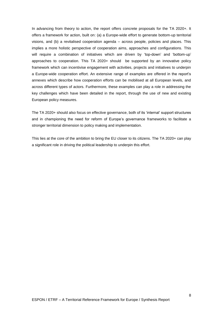In advancing from theory to action, the report offers concrete proposals for the TA 2020+. It offers a framework for action, built on: (a) a Europe-wide effort to generate bottom-up territorial visions, and (b) a revitalised cooperation agenda – across people, policies and places. This implies a more holistic perspective of cooperation aims, approaches and configurations. This will require a combination of initiatives which are driven by 'top-down' and 'bottom-up' approaches to cooperation. This TA 2020+ should be supported by an innovative policy framework which can incentivise engagement with activities, projects and initiatives to underpin a Europe-wide cooperation effort. An extensive range of examples are offered in the report's annexes which describe how cooperation efforts can be mobilised at all European levels, and across different types of actors. Furthermore, these examples can play a role in addressing the key challenges which have been detailed in the report, through the use of new and existing European policy measures.

The TA 2020+ should also focus on effective governance, both of its 'internal' support structures and in championing the need for reform of Europe's governance frameworks to facilitate a stronger territorial dimension to policy making and implementation.

This lies at the core of the ambition to bring the EU closer to its citizens. The TA 2020+ can play a significant role in driving the political leadership to underpin this effort.